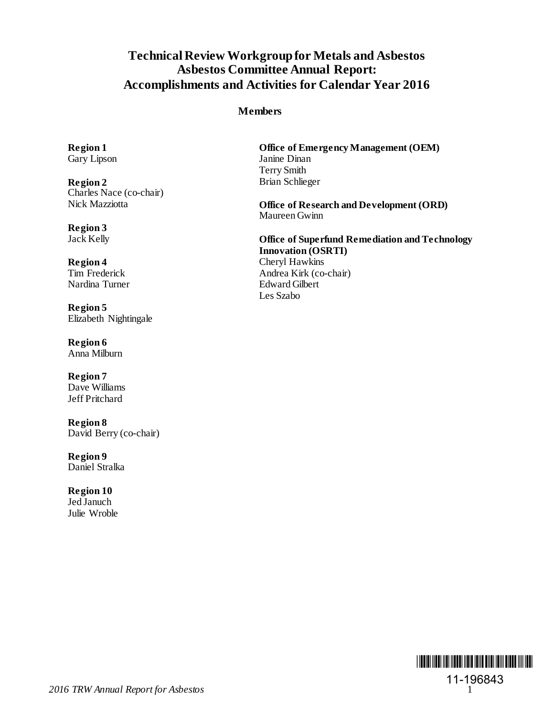# **Technical Review Workgroup for Metals and Asbestos Asbestos Committee Annual Report: Accomplishments and Activities for Calendar Year 2016**

### **Members**

Gary Lipson

**Region 2** Brian Schlieger Charles Nace (co-chair)

**Region 3**

Nardina Turner

**Region 5** Elizabeth Nightingale

**Region 6** Anna Milburn

**Region 7** Dave Williams Jeff Pritchard

**Region 8** David Berry (co-chair)

**Region 9** Daniel Stralka

**Region 10** Jed Januch Julie Wroble

**Region 1 Office of Emergency Management (OEM)**<br> **Gary Lipson Dinam** Terry Smith

> Office of Research and Development **(ORD)** Maureen Gwinn

**Office of Superfund Remediation and Technology Innovation (OSRTI) Region 4** Cheryl Hawkins<br>
Tim Frederick Andrea Kirk (co-Andrea Kirk (co-chair)<br>Edward Gilbert Les Szabo

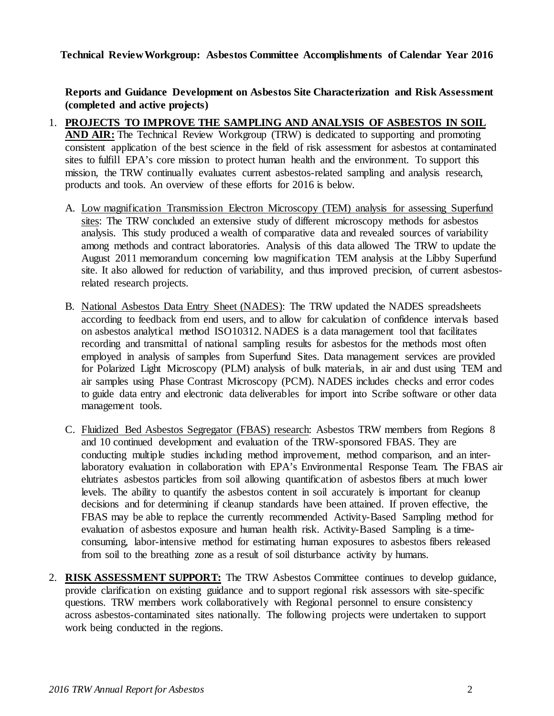**Technical Review Workgroup: Asbestos Committee Accomplishments of Calendar Year 2016** 

**Reports and Guidance Development on Asbestos Site Characterization and Risk Assessment (completed and active projects)**

- 1. **PROJECTS TO IMPROVE THE SAMPLING AND ANALYSIS OF ASBESTOS IN SOIL AND AIR:** The Technical Review Workgroup (TRW) is dedicated to supporting and promoting consistent application of the best science in the field of risk assessment for asbestos at contaminated sites to fulfill EPA's core mission to protect human health and the environment. To support this mission, the TRW continually evaluates current asbestos-related sampling and analysis research, products and tools. An overview of these efforts for 2016 is below.
	- A. Low magnification Transmission Electron Microscopy (TEM) analysis for assessing Superfund sites: The TRW concluded an extensive study of different microscopy methods for asbestos analysis. This study produced a wealth of comparative data and revealed sources of variability among methods and contract laboratories. Analysis of this data allowed The TRW to update the August 2011 memorandum concerning low magnification TEM analysis at the Libby Superfund site. It also allowed for reduction of variability, and thus improved precision, of current asbestosrelated research projects.
	- B. National Asbestos Data Entry Sheet (NADES): The TRW updated the NADES spreadsheets according to feedback from end users, and to allow for calculation of confidence intervals based on asbestos analytical method ISO10312. NADES is a data management tool that facilitates recording and transmittal of national sampling results for asbestos for the methods most often employed in analysis of samples from Superfund Sites. Data management services are provided for Polarized Light Microscopy (PLM) analysis of bulk materials, in air and dust using TEM and air samples using Phase Contrast Microscopy (PCM). NADES includes checks and error codes to guide data entry and electronic data deliverables for import into Scribe software or other data management tools.
	- C. Fluidized Bed Asbestos Segregator (FBAS) research: Asbestos TRW members from Regions 8 and 10 continued development and evaluation of the TRW-sponsored FBAS. They are conducting multiple studies including method improvement, method comparison, and an interlaboratory evaluation in collaboration with EPA's Environmental Response Team. The FBAS air elutriates asbestos particles from soil allowing quantification of asbestos fibers at much lower levels. The ability to quantify the asbestos content in soil accurately is important for cleanup decisions and for determining if cleanup standards have been attained. If proven effective, the FBAS may be able to replace the currently recommended Activity-Based Sampling method for evaluation of asbestos exposure and human health risk. Activity-Based Sampling is a timeconsuming, labor-intensive method for estimating human exposures to asbestos fibers released from soil to the breathing zone as a result of soil disturbance activity by humans.
- 2. **RISK ASSESSMENT SUPPORT:** The TRW Asbestos Committee continues to develop guidance, provide clarification on existing guidance and to support regional risk assessors with site-specific questions. TRW members work collaboratively with Regional personnel to ensure consistency across asbestos-contaminated sites nationally. The following projects were undertaken to support work being conducted in the regions.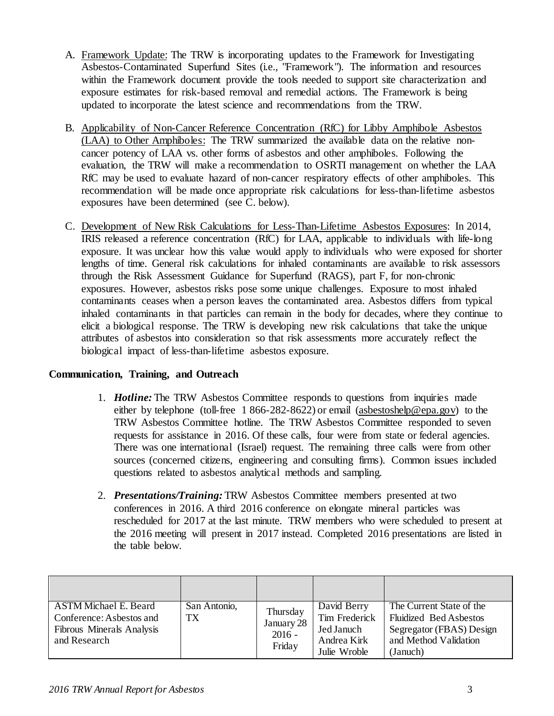- A. Framework Update: The TRW is incorporating updates to the Framework for Investigating Asbestos-Contaminated Superfund Sites (i.e., "Framework"). The information and resources within the Framework document provide the tools needed to support site characterization and exposure estimates for risk-based removal and remedial actions. The Framework is being updated to incorporate the latest science and recommendations from the TRW.
- B. Applicability of Non-Cancer Reference Concentration (RfC) for Libby Amphibole Asbestos (LAA) to Other Amphiboles: The TRW summarized the available data on the relative noncancer potency of LAA vs. other forms of asbestos and other amphiboles. Following the evaluation, the TRW will make a recommendation to OSRTI management on whether the LAA RfC may be used to evaluate hazard of non-cancer respiratory effects of other amphiboles. This recommendation will be made once appropriate risk calculations for less-than-lifetime asbestos exposures have been determined (see C. below).
- C. Development of New Risk Calculations for Less-Than-Lifetime Asbestos Exposures: In 2014, IRIS released a reference concentration (RfC) for LAA, applicable to individuals with life-long exposure. It was unclear how this value would apply to individuals who were exposed for shorter lengths of time. General risk calculations for inhaled contaminants are available to risk assessors through the Risk Assessment Guidance for Superfund (RAGS), part F, for non-chronic exposures. However, asbestos risks pose some unique challenges. Exposure to most inhaled contaminants ceases when a person leaves the contaminated area. Asbestos differs from typical inhaled contaminants in that particles can remain in the body for decades, where they continue to elicit a biological response. The TRW is developing new risk calculations that take the unique attributes of asbestos into consideration so that risk assessments more accurately reflect the biological impact of less-than-lifetime asbestos exposure.

## **Communication, Training, and Outreach**

- 1. *Hotline:* The TRW Asbestos Committee responds to questions from inquiries made either by telephone (toll-free 1 866-282-8622) or email [\(asbestoshelp@epa.gov\)](mailto:asbestoshelp@epa.gov) to the TRW Asbestos Committee hotline. The TRW Asbestos Committee responded to seven requests for assistance in 2016. Of these calls, four were from state or federal agencies. There was one international (Israel) request. The remaining three calls were from other sources (concerned citizens, engineering and consulting firms). Common issues included questions related to asbestos analytical methods and sampling.
- 2. *Presentations/Training:* TRW Asbestos Committee members presented at two conferences in 2016. A third 2016 conference on elongate mineral particles was rescheduled for 2017 at the last minute. TRW members who were scheduled to present at the 2016 meeting will present in 2017 instead. Completed 2016 presentations are listed in the table below.

| <b>ASTM Michael E. Beard</b><br>Conference: Asbestos and<br><b>Fibrous Minerals Analysis</b><br>and Research | San Antonio,<br><b>TX</b> | Thursday<br>January 28<br>$2016 -$<br>Friday | David Berry<br>Tim Frederick<br>Jed Januch<br>Andrea Kirk<br>Julie Wroble | The Current State of the<br><b>Fluidized Bed Asbestos</b><br>Segregator (FBAS) Design<br>and Method Validation<br>(Januch) |
|--------------------------------------------------------------------------------------------------------------|---------------------------|----------------------------------------------|---------------------------------------------------------------------------|----------------------------------------------------------------------------------------------------------------------------|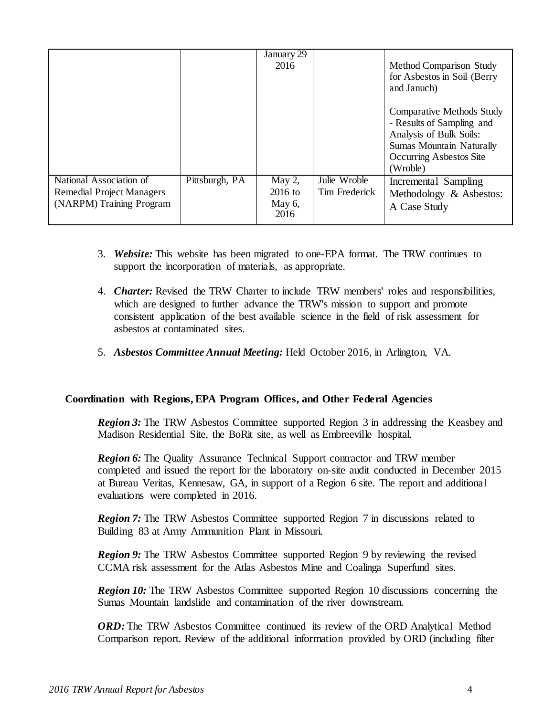|                                                                                         |                | January 29<br>2016                          |                               | Method Comparison Study<br>for Asbestos in Soil (Berry<br>and Januch)                                                                                              |
|-----------------------------------------------------------------------------------------|----------------|---------------------------------------------|-------------------------------|--------------------------------------------------------------------------------------------------------------------------------------------------------------------|
|                                                                                         |                |                                             |                               | <b>Comparative Methods Study</b><br>- Results of Sampling and<br>Analysis of Bulk Soils:<br><b>Sumas Mountain Naturally</b><br>Occurring Asbestos Site<br>(Wroble) |
| National Association of<br><b>Remedial Project Managers</b><br>(NARPM) Training Program | Pittsburgh, PA | May $2$ ,<br>$2016$ to<br>May $6$ ,<br>2016 | Julie Wroble<br>Tim Frederick | Incremental Sampling<br>Methodology & Asbestos:<br>A Case Study                                                                                                    |

- 3. *Website:* This website has been migrated to one-EPA format. The TRW continues to support the incorporation of materials, as appropriate.
- 4. *Charter:* Revised the TRW Charter to include TRW members' roles and responsibilities, which are designed to further advance the TRW's mission to support and promote consistent application of the best available science in the field of risk assessment for asbestos at contaminated sites.
- 5. *Asbestos Committee Annual Meeting:* Held October 2016, in Arlington, VA.

## **Coordination with Regions, EPA Program Offices, and Other Federal Agencies**

*Region 3:* The TRW Asbestos Committee supported Region 3 in addressing the Keasbey and Madison Residential Site, the BoRit site, as well as Embreeville hospital.

*Region 6:* The Quality Assurance Technical Support contractor and TRW member completed and issued the report for the laboratory on-site audit conducted in December 2015 at Bureau Veritas, Kennesaw, GA, in support of a Region 6 site. The report and additional evaluations were completed in 2016.

*Region 7:* The TRW Asbestos Committee supported Region 7 in discussions related to Building 83 at Army Ammunition Plant in Missouri.

*Region 9:* The TRW Asbestos Committee supported Region 9 by reviewing the revised CCMA risk assessment for the Atlas Asbestos Mine and Coalinga Superfund sites.

*Region 10:* The TRW Asbestos Committee supported Region 10 discussions concerning the Sumas Mountain landslide and contamination of the river downstream.

*ORD*: The TRW Asbestos Committee continued its review of the ORD Analytical Method Comparison report. Review of the additional information provided by ORD (including filter